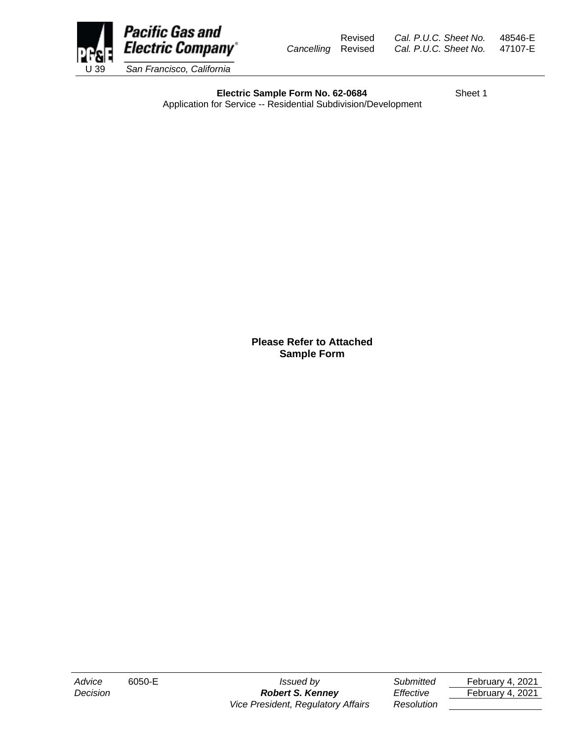

Revised *Cal. P.U.C. Sheet No.* 48546-E *Cancelling* Revised *Cal. P.U.C. Sheet No.* 47107-E

**Electric Sample Form No. 62-0684** Sheet 1 Application for Service -- Residential Subdivision/Development

*Advice* 6050-E *Issued by Submitted* February 4, 2021 *Decision Robert S. Kenney Effective* February 4, 2021

**Please Refer to Attached Sample Form**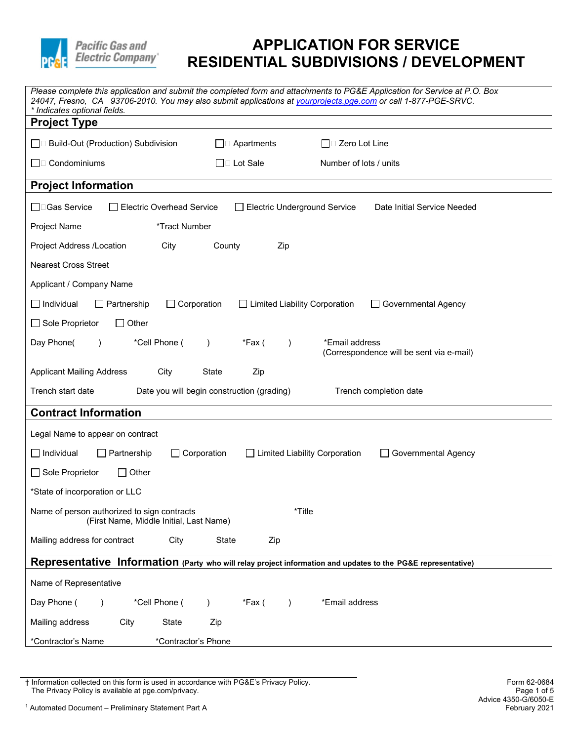

| Please complete this application and submit the completed form and attachments to PG&E Application for Service at P.O. Box<br>24047, Fresno, CA 93706-2010. You may also submit applications at yourprojects.pge.com or call 1-877-PGE-SRVC.<br>* Indicates optional fields. |  |  |  |  |
|------------------------------------------------------------------------------------------------------------------------------------------------------------------------------------------------------------------------------------------------------------------------------|--|--|--|--|
| <b>Project Type</b>                                                                                                                                                                                                                                                          |  |  |  |  |
| □□ Build-Out (Production) Subdivision<br>$\Box$ Apartments<br>$\Box$ $\square$ Zero Lot Line                                                                                                                                                                                 |  |  |  |  |
| $\Box$ Condominiums<br>$\Box$ Lot Sale<br>Number of lots / units                                                                                                                                                                                                             |  |  |  |  |
| <b>Project Information</b>                                                                                                                                                                                                                                                   |  |  |  |  |
| □□Gas Service<br><b>Electric Overhead Service</b><br><b>Electric Underground Service</b><br>Date Initial Service Needed                                                                                                                                                      |  |  |  |  |
| *Tract Number<br>Project Name                                                                                                                                                                                                                                                |  |  |  |  |
| Project Address /Location<br>City<br>County<br>Zip                                                                                                                                                                                                                           |  |  |  |  |
| <b>Nearest Cross Street</b>                                                                                                                                                                                                                                                  |  |  |  |  |
| Applicant / Company Name                                                                                                                                                                                                                                                     |  |  |  |  |
| $\Box$ Individual<br>$\Box$ Partnership<br>$\Box$ Corporation<br>$\Box$ Limited Liability Corporation<br><b>Governmental Agency</b>                                                                                                                                          |  |  |  |  |
| □ Sole Proprietor<br>$\Box$ Other                                                                                                                                                                                                                                            |  |  |  |  |
| Day Phone(<br>*Cell Phone (<br>*Email address<br>*Fax (<br>$\lambda$<br>$\lambda$<br>(Correspondence will be sent via e-mail)                                                                                                                                                |  |  |  |  |
| <b>Applicant Mailing Address</b><br>City<br>State<br>Zip                                                                                                                                                                                                                     |  |  |  |  |
| Trench start date<br>Date you will begin construction (grading)<br>Trench completion date                                                                                                                                                                                    |  |  |  |  |
| <b>Contract Information</b>                                                                                                                                                                                                                                                  |  |  |  |  |
| Legal Name to appear on contract                                                                                                                                                                                                                                             |  |  |  |  |
| $\Box$ Individual<br>$\Box$ Corporation<br>□ Limited Liability Corporation<br>Partnership<br>□ Governmental Agency                                                                                                                                                           |  |  |  |  |
| □ Sole Proprietor<br>Other                                                                                                                                                                                                                                                   |  |  |  |  |
| *State of incorporation or LLC                                                                                                                                                                                                                                               |  |  |  |  |
| *Title<br>Name of person authorized to sign contracts<br>(First Name, Middle Initial, Last Name)                                                                                                                                                                             |  |  |  |  |
| Mailing address for contract<br>City<br>State<br>Zip                                                                                                                                                                                                                         |  |  |  |  |
| Representative Information (Party who will relay project information and updates to the PG&E representative)                                                                                                                                                                 |  |  |  |  |
| Name of Representative                                                                                                                                                                                                                                                       |  |  |  |  |
| Day Phone (<br>*Cell Phone (<br>*Fax (<br>*Email address<br>$\lambda$                                                                                                                                                                                                        |  |  |  |  |
| Mailing address<br>City<br>State<br>Zip                                                                                                                                                                                                                                      |  |  |  |  |
| *Contractor's Name<br>*Contractor's Phone                                                                                                                                                                                                                                    |  |  |  |  |

<sup>†</sup> Information collected on this form is used in accordance with PG&E's Privacy Policy. Form 62-0684 The Privacy Policy is available at pge.com/privacy. Page 1 of 5 This increased of this form is used in accordance with G&L six invacy follow.<br>The Privacy Policy is available at pge.com/privacy.<br><sup>1</sup> Automated Document – Preliminary Statement Part A February 2021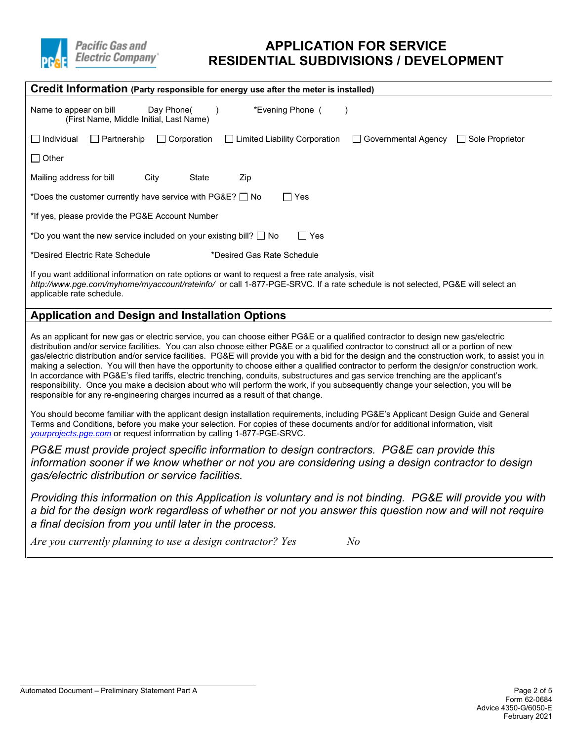

| Credit Information (Party responsible for energy use after the meter is installed)                                                                                                                                                                              |  |  |  |  |
|-----------------------------------------------------------------------------------------------------------------------------------------------------------------------------------------------------------------------------------------------------------------|--|--|--|--|
| *Evening Phone (<br>Name to appear on bill<br>Day Phone(<br>(First Name, Middle Initial, Last Name)                                                                                                                                                             |  |  |  |  |
| I Individual<br>$\Box$ Corporation<br>$\Box$ Limited Liability Corporation<br>□ Governmental Agency<br>Partnership<br>Sole Proprietor                                                                                                                           |  |  |  |  |
| $\Box$ Other                                                                                                                                                                                                                                                    |  |  |  |  |
| Mailing address for bill<br>City<br>State<br>Zip                                                                                                                                                                                                                |  |  |  |  |
| *Does the customer currently have service with PG&E?   No<br>l Yes                                                                                                                                                                                              |  |  |  |  |
| *If yes, please provide the PG&E Account Number                                                                                                                                                                                                                 |  |  |  |  |
| *Do you want the new service included on your existing bill? $\Box$ No<br>Yes<br>$\Box$                                                                                                                                                                         |  |  |  |  |
| *Desired Electric Rate Schedule<br>*Desired Gas Rate Schedule                                                                                                                                                                                                   |  |  |  |  |
| If you want additional information on rate options or want to request a free rate analysis, visit<br>http://www.pge.com/myhome/myaccount/rateinfo/ or call 1-877-PGE-SRVC. If a rate schedule is not selected, PG&E will select an<br>applicable rate schedule. |  |  |  |  |

### **Application and Design and Installation Options**

 making a selection. You will then have the opportunity to choose either a qualified contractor to perform the design/or construction work. responsible for any re-engineering charges incurred as a result of that change. As an applicant for new gas or electric service, you can choose either PG&E or a qualified contractor to design new gas/electric distribution and/or service facilities. You can also choose either PG&E or a qualified contractor to construct all or a portion of new gas/electric distribution and/or service facilities. PG&E will provide you with a bid for the design and the construction work, to assist you in In accordance with PG&E's filed tariffs, electric trenching, conduits, substructures and gas service trenching are the applicant's responsibility. Once you make a decision about who will perform the work, if you subsequently change your selection, you will be

You should become familiar with the applicant design installation requirements, including PG&E's Applicant Design Guide and General Terms and Conditions, before you make your selection. For copies of these documents and/or for additional information, visit *[yourprojects.pge.com](https://yourprojects-pge.com)* or request information by calling 1-877-PGE-SRVC.

*PG&E must provide project specific information to design contractors. PG&E can provide this information sooner if we know whether or not you are considering using a design contractor to design gas/electric distribution or service facilities.* 

 *Providing this information on this Application is voluntary and is not binding. PG&E will provide you with a bid for the design work regardless of whether or not you answer this question now and will not require a final decision from you until later in the process.* 

Are you currently planning to use a design contractor? Yes No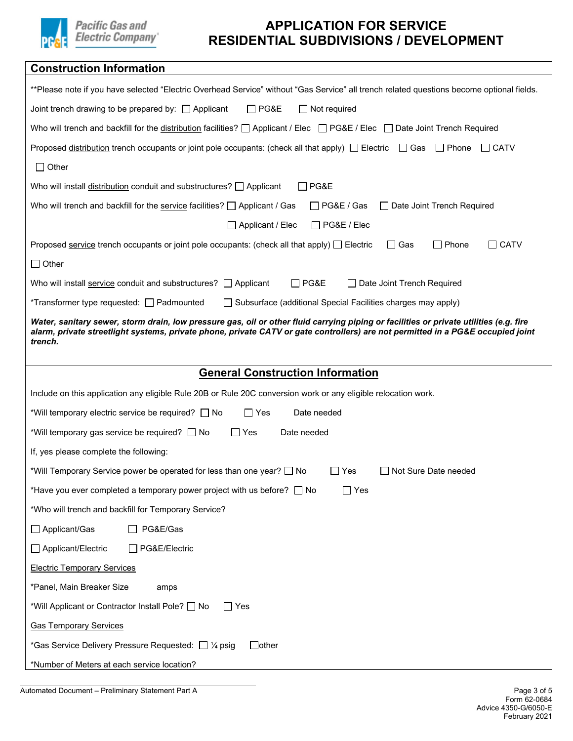

| <b>Construction Information</b>                                                                                                                                                                                                                                                      |  |  |  |  |
|--------------------------------------------------------------------------------------------------------------------------------------------------------------------------------------------------------------------------------------------------------------------------------------|--|--|--|--|
| **Please note if you have selected "Electric Overhead Service" without "Gas Service" all trench related questions become optional fields.                                                                                                                                            |  |  |  |  |
| $\Box$ PG&E<br>Joint trench drawing to be prepared by: $\Box$ Applicant<br>$\Box$ Not required                                                                                                                                                                                       |  |  |  |  |
| Who will trench and backfill for the distribution facilities? $\Box$ Applicant / Elec $\Box$ PG&E / Elec $\Box$ Date Joint Trench Required                                                                                                                                           |  |  |  |  |
| Proposed distribution trench occupants or joint pole occupants: (check all that apply) $\Box$ Electric $\Box$ Gas<br>$\Box$ Phone<br>$\Box$ CATV                                                                                                                                     |  |  |  |  |
| $\Box$ Other                                                                                                                                                                                                                                                                         |  |  |  |  |
| Who will install distribution conduit and substructures? $\Box$ Applicant<br>$\Box$ PG&E                                                                                                                                                                                             |  |  |  |  |
| Who will trench and backfill for the service facilities? $\Box$ Applicant / Gas<br>$\Box$ PG&E / Gas<br>□ Date Joint Trench Required                                                                                                                                                 |  |  |  |  |
| $\Box$ Applicant / Elec<br>$\Box$ PG&E / Elec                                                                                                                                                                                                                                        |  |  |  |  |
| $\Box$ Phone<br>$\Box$ CATV<br>Proposed service trench occupants or joint pole occupants: (check all that apply) $\Box$ Electric<br>│ Gas                                                                                                                                            |  |  |  |  |
| $\Box$ Other                                                                                                                                                                                                                                                                         |  |  |  |  |
| $\Box$ PG&E<br>Who will install service conduit and substructures? $\Box$ Applicant<br>□ Date Joint Trench Required                                                                                                                                                                  |  |  |  |  |
| *Transformer type requested: □ Padmounted<br>□ Subsurface (additional Special Facilities charges may apply)                                                                                                                                                                          |  |  |  |  |
| Water, sanitary sewer, storm drain, low pressure gas, oil or other fluid carrying piping or facilities or private utilities (e.g. fire<br>alarm, private streetlight systems, private phone, private CATV or gate controllers) are not permitted in a PG&E occupied joint<br>trench. |  |  |  |  |
| <b>General Construction Information</b>                                                                                                                                                                                                                                              |  |  |  |  |
| Include on this application any eligible Rule 20B or Rule 20C conversion work or any eligible relocation work.                                                                                                                                                                       |  |  |  |  |
| *Will temporary electric service be required? □ No<br>$\Box$ Yes<br>Date needed                                                                                                                                                                                                      |  |  |  |  |
| *Will temporary gas service be required? □ No<br>Date needed<br>Yes                                                                                                                                                                                                                  |  |  |  |  |
| If, yes please complete the following:                                                                                                                                                                                                                                               |  |  |  |  |
| *Will Temporary Service power be operated for less than one year? □ No<br>$\Box$ Yes<br>□ Not Sure Date needed                                                                                                                                                                       |  |  |  |  |
| *Have you ever completed a temporary power project with us before? $\Box$ No<br>$\Box$ Yes                                                                                                                                                                                           |  |  |  |  |
| *Who will trench and backfill for Temporary Service?                                                                                                                                                                                                                                 |  |  |  |  |
| □ Applicant/Gas<br>PG&E/Gas                                                                                                                                                                                                                                                          |  |  |  |  |
| □ Applicant/Electric<br>□ PG&E/Electric                                                                                                                                                                                                                                              |  |  |  |  |
|                                                                                                                                                                                                                                                                                      |  |  |  |  |
| <b>Electric Temporary Services</b>                                                                                                                                                                                                                                                   |  |  |  |  |
| *Panel, Main Breaker Size<br>amps                                                                                                                                                                                                                                                    |  |  |  |  |
| *Will Applicant or Contractor Install Pole? No<br>$\Box$ Yes                                                                                                                                                                                                                         |  |  |  |  |
| <b>Gas Temporary Services</b>                                                                                                                                                                                                                                                        |  |  |  |  |
| $\Box$ other<br>*Gas Service Delivery Pressure Requested: $\Box$ 1/4 psig                                                                                                                                                                                                            |  |  |  |  |

Automated Document – Preliminary Statement Part A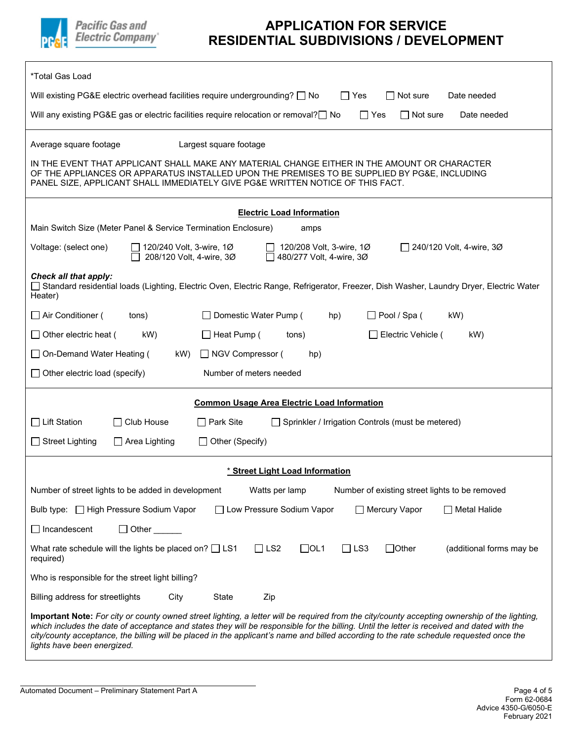

| *Total Gas Load                                                                                                                                                                                                                                                                                                                                                                                                                                                       |  |  |  |  |
|-----------------------------------------------------------------------------------------------------------------------------------------------------------------------------------------------------------------------------------------------------------------------------------------------------------------------------------------------------------------------------------------------------------------------------------------------------------------------|--|--|--|--|
| Will existing PG&E electric overhead facilities require undergrounding? $\Box$ No<br>$\Box$ Yes<br>Not sure<br>Date needed                                                                                                                                                                                                                                                                                                                                            |  |  |  |  |
| Will any existing PG&E gas or electric facilities require relocation or removal? $\Box$ No<br>Date needed<br>l   Yes<br>∣ I Not sure                                                                                                                                                                                                                                                                                                                                  |  |  |  |  |
|                                                                                                                                                                                                                                                                                                                                                                                                                                                                       |  |  |  |  |
| Largest square footage<br>Average square footage                                                                                                                                                                                                                                                                                                                                                                                                                      |  |  |  |  |
| IN THE EVENT THAT APPLICANT SHALL MAKE ANY MATERIAL CHANGE EITHER IN THE AMOUNT OR CHARACTER<br>OF THE APPLIANCES OR APPARATUS INSTALLED UPON THE PREMISES TO BE SUPPLIED BY PG&E, INCLUDING<br>PANEL SIZE, APPLICANT SHALL IMMEDIATELY GIVE PG&E WRITTEN NOTICE OF THIS FACT.                                                                                                                                                                                        |  |  |  |  |
| <b>Electric Load Information</b>                                                                                                                                                                                                                                                                                                                                                                                                                                      |  |  |  |  |
| Main Switch Size (Meter Panel & Service Termination Enclosure)<br>amps                                                                                                                                                                                                                                                                                                                                                                                                |  |  |  |  |
| 120/240 Volt, 3-wire, 1Ø<br>120/208 Volt, 3-wire, 1Ø<br>$\Box$ 240/120 Volt, 4-wire, 30<br>Voltage: (select one)<br>208/120 Volt, 4-wire, 3Ø<br>$\Box$ 480/277 Volt, 4-wire, 30                                                                                                                                                                                                                                                                                       |  |  |  |  |
| Check all that apply:<br>□ Standard residential loads (Lighting, Electric Oven, Electric Range, Refrigerator, Freezer, Dish Washer, Laundry Dryer, Electric Water<br>Heater)                                                                                                                                                                                                                                                                                          |  |  |  |  |
| □ Air Conditioner (<br>Domestic Water Pump (<br>$\Box$ Pool / Spa (<br>hp)<br>kW)<br>tons)                                                                                                                                                                                                                                                                                                                                                                            |  |  |  |  |
| $\Box$ Other electric heat (<br>kW)<br>□ Heat Pump (<br>Electric Vehicle (<br>tons)<br>kW)                                                                                                                                                                                                                                                                                                                                                                            |  |  |  |  |
| □ On-Demand Water Heating (<br>□ NGV Compressor (<br>kW)<br>hp)                                                                                                                                                                                                                                                                                                                                                                                                       |  |  |  |  |
| Number of meters needed<br>$\Box$ Other electric load (specify)                                                                                                                                                                                                                                                                                                                                                                                                       |  |  |  |  |
| <b>Common Usage Area Electric Load Information</b>                                                                                                                                                                                                                                                                                                                                                                                                                    |  |  |  |  |
| $\Box$ Lift Station<br>$\Box$ Club House<br>□ Park Site<br>Sprinkler / Irrigation Controls (must be metered)                                                                                                                                                                                                                                                                                                                                                          |  |  |  |  |
| $\Box$ Street Lighting<br>$\Box$ Area Lighting<br>$\Box$ Other (Specify)                                                                                                                                                                                                                                                                                                                                                                                              |  |  |  |  |
| * Street Light Load Information                                                                                                                                                                                                                                                                                                                                                                                                                                       |  |  |  |  |
| Number of street lights to be added in development<br>Watts per lamp<br>Number of existing street lights to be removed                                                                                                                                                                                                                                                                                                                                                |  |  |  |  |
| Bulb type: □ High Pressure Sodium Vapor<br>□ Low Pressure Sodium Vapor<br>Mercury Vapor<br>$\Box$ Metal Halide                                                                                                                                                                                                                                                                                                                                                        |  |  |  |  |
| $\Box$ Incandescent<br>$\Box$ Other                                                                                                                                                                                                                                                                                                                                                                                                                                   |  |  |  |  |
| $\Box$ OL1<br>$\Box$ LS3<br>$\Box$ Other<br>What rate schedule will the lights be placed on? $\Box$ LS1<br>$\Box$ LS2<br>(additional forms may be<br>required)                                                                                                                                                                                                                                                                                                        |  |  |  |  |
| Who is responsible for the street light billing?                                                                                                                                                                                                                                                                                                                                                                                                                      |  |  |  |  |
| Billing address for streetlights<br>City<br>State<br>Zip                                                                                                                                                                                                                                                                                                                                                                                                              |  |  |  |  |
| Important Note: For city or county owned street lighting, a letter will be required from the city/county accepting ownership of the lighting,<br>which includes the date of acceptance and states they will be responsible for the billing. Until the letter is received and dated with the<br>city/county acceptance, the billing will be placed in the applicant's name and billed according to the rate schedule requested once the<br>lights have been energized. |  |  |  |  |

Automated Document – Preliminary Statement Part A